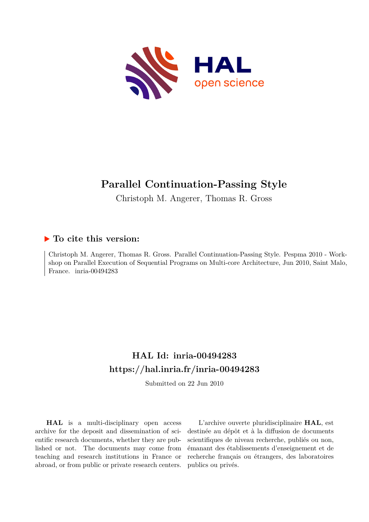

# **Parallel Continuation-Passing Style**

Christoph M. Angerer, Thomas R. Gross

## **To cite this version:**

Christoph M. Angerer, Thomas R. Gross. Parallel Continuation-Passing Style. Pespma 2010 - Workshop on Parallel Execution of Sequential Programs on Multi-core Architecture, Jun 2010, Saint Malo, France. inria-00494283

# **HAL Id: inria-00494283 <https://hal.inria.fr/inria-00494283>**

Submitted on 22 Jun 2010

**HAL** is a multi-disciplinary open access archive for the deposit and dissemination of scientific research documents, whether they are published or not. The documents may come from teaching and research institutions in France or abroad, or from public or private research centers.

L'archive ouverte pluridisciplinaire **HAL**, est destinée au dépôt et à la diffusion de documents scientifiques de niveau recherche, publiés ou non, émanant des établissements d'enseignement et de recherche français ou étrangers, des laboratoires publics ou privés.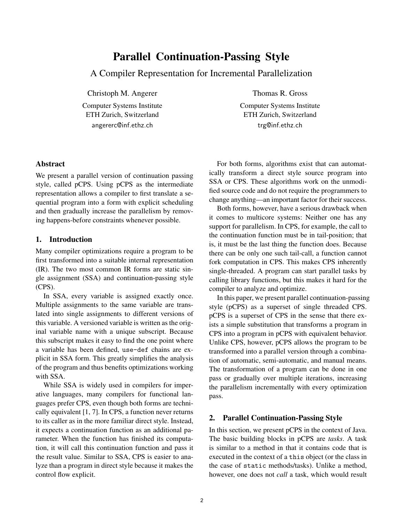# Parallel Continuation-Passing Style

A Compiler Representation for Incremental Parallelization

Christoph M. Angerer

Computer Systems Institute ETH Zurich, Switzerland angererc@inf.ethz.ch

Thomas R. Gross

Computer Systems Institute ETH Zurich, Switzerland trg@inf.ethz.ch

#### Abstract

We present a parallel version of continuation passing style, called pCPS. Using pCPS as the intermediate representation allows a compiler to first translate a sequential program into a form with explicit scheduling and then gradually increase the parallelism by removing happens-before constraints whenever possible.

#### 1. Introduction

Many compiler optimizations require a program to be first transformed into a suitable internal representation (IR). The two most common IR forms are static single assignment (SSA) and continuation-passing style (CPS).

In SSA, every variable is assigned exactly once. Multiple assignments to the same variable are translated into single assignments to different versions of this variable. A versioned variable is written as the original variable name with a unique subscript. Because this subscript makes it easy to find the one point where a variable has been defined, use-def chains are explicit in SSA form. This greatly simplifies the analysis of the program and thus benefits optimizations working with SSA.

While SSA is widely used in compilers for imperative languages, many compilers for functional languages prefer CPS, even though both forms are technically equivalent [1, 7]. In CPS, a function never returns to its caller as in the more familiar direct style. Instead, it expects a continuation function as an additional parameter. When the function has finished its computation, it will call this continuation function and pass it the result value. Similar to SSA, CPS is easier to analyze than a program in direct style because it makes the control flow explicit.

For both forms, algorithms exist that can automatically transform a direct style source program into SSA or CPS. These algorithms work on the unmodified source code and do not require the programmers to change anything—an important factor for their success.

Both forms, however, have a serious drawback when it comes to multicore systems: Neither one has any support for parallelism. In CPS, for example, the call to the continuation function must be in tail-position; that is, it must be the last thing the function does. Because there can be only one such tail-call, a function cannot fork computation in CPS. This makes CPS inherently single-threaded. A program can start parallel tasks by calling library functions, but this makes it hard for the compiler to analyze and optimize.

In this paper, we present parallel continuation-passing style (pCPS) as a superset of single threaded CPS. pCPS is a superset of CPS in the sense that there exists a simple substitution that transforms a program in CPS into a program in pCPS with equivalent behavior. Unlike CPS, however, pCPS allows the program to be transformed into a parallel version through a combination of automatic, semi-automatic, and manual means. The transformation of a program can be done in one pass or gradually over multiple iterations, increasing the parallelism incrementally with every optimization pass.

### 2. Parallel Continuation-Passing Style

In this section, we present pCPS in the context of Java. The basic building blocks in pCPS are *tasks*. A task is similar to a method in that it contains code that is executed in the context of a this object (or the class in the case of static methods/tasks). Unlike a method, however, one does not *call* a task, which would result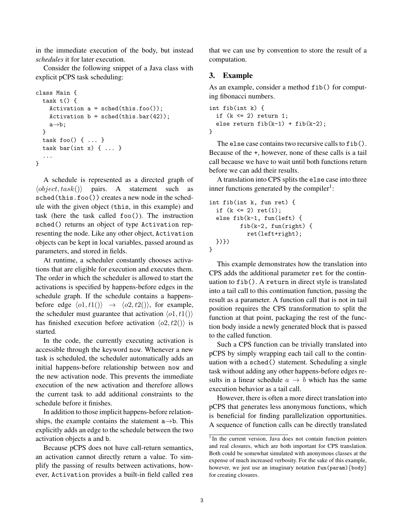in the immediate execution of the body, but instead *schedules* it for later execution.

Consider the following snippet of a Java class with explicit pCPS task scheduling:

```
class Main {
  task t() {
     Activation a = \text{sched}(\text{this.foo}());
     Activation b = \text{sched}(\text{this bar}(42));a \rightarrow b;
  }
  task foo() { ... }
  task bar(int x) { ... }...
}
```
A schedule is represented as a directed graph of  $\langle object, task() \rangle$  pairs. A statement such as sched(this.foo()) creates a new node in the schedule with the given object (this, in this example) and task (here the task called foo()). The instruction sched() returns an object of type Activation representing the node. Like any other object, Activation objects can be kept in local variables, passed around as parameters, and stored in fields.

At runtime, a scheduler constantly chooses activations that are eligible for execution and executes them. The order in which the scheduler is allowed to start the activations is specified by happens-before edges in the schedule graph. If the schedule contains a happensbefore edge  $\langle o1, t1(\rangle) \rightarrow \langle o2, t2(\rangle)$ , for example, the scheduler must guarantee that activation  $\langle o1, t1 \rangle$ has finished execution before activation  $\langle o2, t2 \rangle$  is started.

In the code, the currently executing activation is accessible through the keyword now. Whenever a new task is scheduled, the scheduler automatically adds an initial happens-before relationship between now and the new activation node. This prevents the immediate execution of the new activation and therefore allows the current task to add additional constraints to the schedule before it finishes.

In addition to those implicit happens-before relationships, the example contains the statement  $a \rightarrow b$ . This explicitly adds an edge to the schedule between the two activation objects a and b.

Because pCPS does not have call-return semantics, an activation cannot directly return a value. To simplify the passing of results between activations, however, Activation provides a built-in field called res that we can use by convention to store the result of a computation.

#### 3. Example

As an example, consider a method fib() for computing fibonacci numbers.

```
int fib(int k) {
  if (k \leq 2) return 1;
  else return fib(k-1) + fib(k-2);}
```
The else case contains two recursive calls to fib(). Because of the +, however, none of these calls is a tail call because we have to wait until both functions return before we can add their results.

A translation into CPS splits the else case into three inner functions generated by the compiler<sup>1</sup>:

```
int fib(int k, fun ret) {
  if (k \leq 2) ret(1);
  else fib(k-1, fun(left) {
         fib(k-2, fun(right) {
           ret(left+right);
 })})
}
```
This example demonstrates how the translation into CPS adds the additional parameter ret for the continuation to fib(). A return in direct style is translated into a tail call to this continuation function, passing the result as a parameter. A function call that is not in tail position requires the CPS transformation to split the function at that point, packaging the rest of the function body inside a newly generated block that is passed to the called function.

Such a CPS function can be trivially translated into pCPS by simply wrapping each tail call to the continuation with a sched() statement. Scheduling a single task without adding any other happens-before edges results in a linear schedule  $a \rightarrow b$  which has the same execution behavior as a tail call.

However, there is often a more direct translation into pCPS that generates less anonymous functions, which is beneficial for finding parallelization opportunities. A sequence of function calls can be directly translated

<sup>&</sup>lt;sup>1</sup> In the current version, Java does not contain function pointers and real closures, which are both important for CPS translation. Both could be somewhat simulated with anonymous classes at the expense of much increased verbosity. For the sake of this example, however, we just use an imaginary notation fun(param){body} for creating closures.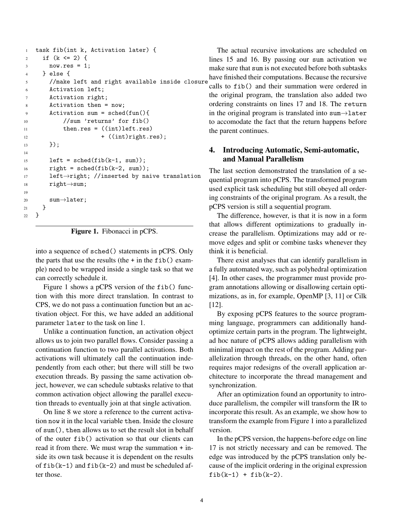```
1 task fib(int k, Activation later) {
2 if (k \le 2) {
3 \qquad \qquad \text{now.} \text{res} = 1;4 } else {
5 //make left and right available inside closure
6 Activation left;
7 Activation right;
8 Activation then = now;
9 Activation sum = sched(fun(){
10 //sum 'returns' for fib()
11 then.res = ((int)left.res)
12 + ((int)right.res);
_{13} });
14
15 left = sched(fib(k-1, sum));
16 right = sched(fib(k-2, sum));
17 left→right; //inserted by naive translation
18 right\rightarrowsum;
19
20 sum \rightarrow later;
21 }
22 }
```
Figure 1. Fibonacci in pCPS.

into a sequence of sched() statements in pCPS. Only the parts that use the results (the  $+$  in the fib() example) need to be wrapped inside a single task so that we can correctly schedule it.

Figure 1 shows a pCPS version of the fib() function with this more direct translation. In contrast to CPS, we do not pass a continuation function but an activation object. For this, we have added an additional parameter later to the task on line 1.

Unlike a continuation function, an activation object allows us to join two parallel flows. Consider passing a continuation function to two parallel activations. Both activations will ultimately call the continuation independently from each other; but there will still be two execution threads. By passing the same activation object, however, we can schedule subtasks relative to that common activation object allowing the parallel execution threads to eventually join at that single activation.

On line 8 we store a reference to the current activation now it in the local variable then. Inside the closure of sum(), then allows us to set the result slot in behalf of the outer fib() activation so that our clients can read it from there. We must wrap the summation + inside its own task because it is dependent on the results of  $fib(k-1)$  and  $fib(k-2)$  and must be scheduled after those.

The actual recursive invokations are scheduled on lines 15 and 16. By passing our sum activation we make sure that sum is not executed before both subtasks have finished their computations. Because the recursive calls to fib() and their summation were ordered in the original program, the translation also added two ordering constraints on lines 17 and 18. The return in the original program is translated into sum $\rightarrow$ later to accomodate the fact that the return happens before the parent continues.

### 4. Introducing Automatic, Semi-automatic, and Manual Parallelism

The last section demonstrated the translation of a sequential program into pCPS. The transformed program used explicit task scheduling but still obeyed all ordering constraints of the original program. As a result, the pCPS version is still a sequential program.

The difference, however, is that it is now in a form that allows different optimizations to gradually increase the parallelism. Optimizations may add or remove edges and split or combine tasks whenever they think it is beneficial.

There exist analyses that can identify parallelism in a fully automated way, such as polyhedral optimization [4]. In other cases, the programmer must provide program annotations allowing or disallowing certain optimizations, as in, for example, OpenMP [3, 11] or Cilk [12].

By exposing pCPS features to the source programming language, programmers can additionally handoptimize certain parts in the program. The lightweight, ad hoc nature of pCPS allows adding parallelism with minimal impact on the rest of the program. Adding parallelization through threads, on the other hand, often requires major redesigns of the overall application architecture to incorporate the thread management and synchronization.

After an optimization found an opportunity to introduce parallelism, the compiler will transform the IR to incorporate this result. As an example, we show how to transform the example from Figure 1 into a parallelized version.

In the pCPS version, the happens-before edge on line 17 is not strictly necessary and can be removed. The edge was introduced by the pCPS translation only because of the implicit ordering in the original expression  $fib(k-1) + fib(k-2).$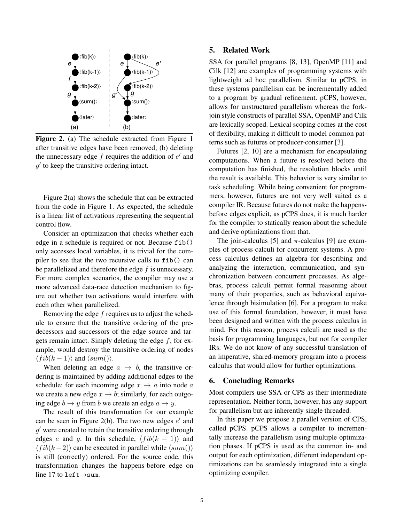

Figure 2. (a) The schedule extracted from Figure 1 after transitive edges have been removed; (b) deleting the unnecessary edge  $f$  requires the addition of  $e'$  and  $g'$  to keep the transitive ordering intact.

Figure 2(a) shows the schedule that can be extracted from the code in Figure 1. As expected, the schedule is a linear list of activations representing the sequential control flow.

Consider an optimization that checks whether each edge in a schedule is required or not. Because fib() only accesses local variables, it is trivial for the compiler to see that the two recursive calls to fib() can be parallelized and therefore the edge  $f$  is unnecessary. For more complex scenarios, the compiler may use a more advanced data-race detection mechanism to figure out whether two activations would interfere with each other when parallelized.

Removing the edge  $f$  requires us to adjust the schedule to ensure that the transitive ordering of the predecessors and successors of the edge source and targets remain intact. Simply deleting the edge  $f$ , for example, would destroy the transitive ordering of nodes  $\langle fib(k-1)\rangle$  and  $\langle sum(\cdot)\rangle$ .

When deleting an edge  $a \rightarrow b$ , the transitive ordering is maintained by adding additional edges to the schedule: for each incoming edge  $x \to a$  into node a we create a new edge  $x \to b$ ; similarly, for each outgoing edge  $b \rightarrow y$  from b we create an edge  $a \rightarrow y$ .

The result of this transformation for our example can be seen in Figure 2(b). The two new edges  $e'$  and  $g'$  were created to retain the transitive ordering through edges e and g. In this schedule,  $\langle fib(k - 1) \rangle$  and  $\langle fib(k-2)\rangle$  can be executed in parallel while  $\langle sum(\mathbf{r})\rangle$ is still (correctly) ordered. For the source code, this transformation changes the happens-before edge on line 17 to left→sum.

### 5. Related Work

SSA for parallel programs [8, 13], OpenMP [11] and Cilk [12] are examples of programming systems with lightweight ad hoc parallelism. Similar to pCPS, in these systems parallelism can be incrementally added to a program by gradual refinement. pCPS, however, allows for unstructured parallelism whereas the forkjoin style constructs of parallel SSA, OpenMP and Cilk are lexically scoped. Lexical scoping comes at the cost of flexibility, making it difficult to model common patterns such as futures or producer-consumer [3].

Futures [2, 10] are a mechanism for encapsulating computations. When a future is resolved before the computation has finished, the resolution blocks until the result is available. This behavior is very similar to task scheduling. While being convenient for programmers, however, futures are not very well suited as a compiler IR. Because futures do not make the happensbefore edges explicit, as pCPS does, it is much harder for the compiler to statically reason about the schedule and derive optimizations from that.

The join-calculus [5] and  $\pi$ -calculus [9] are examples of process calculi for concurrent systems. A process calculus defines an algebra for describing and analyzing the interaction, communication, and synchronization between concurrent processes. As algebras, process calculi permit formal reasoning about many of their properties, such as behavioral equivalence through bisimulation [6]. For a program to make use of this formal foundation, however, it must have been designed and written with the process calculus in mind. For this reason, process calculi are used as the basis for programming languages, but not for compiler IRs. We do not know of any successful translation of an imperative, shared-memory program into a process calculus that would allow for further optimizations.

#### 6. Concluding Remarks

Most compilers use SSA or CPS as their intermediate representation. Neither form, however, has any support for parallelism but are inherently single threaded.

In this paper we propose a parallel version of CPS, called pCPS. pCPS allows a compiler to incrementally increase the parallelism using multiple optimization phases. If pCPS is used as the common in- and output for each optimization, different independent optimizations can be seamlessly integrated into a single optimizing compiler.